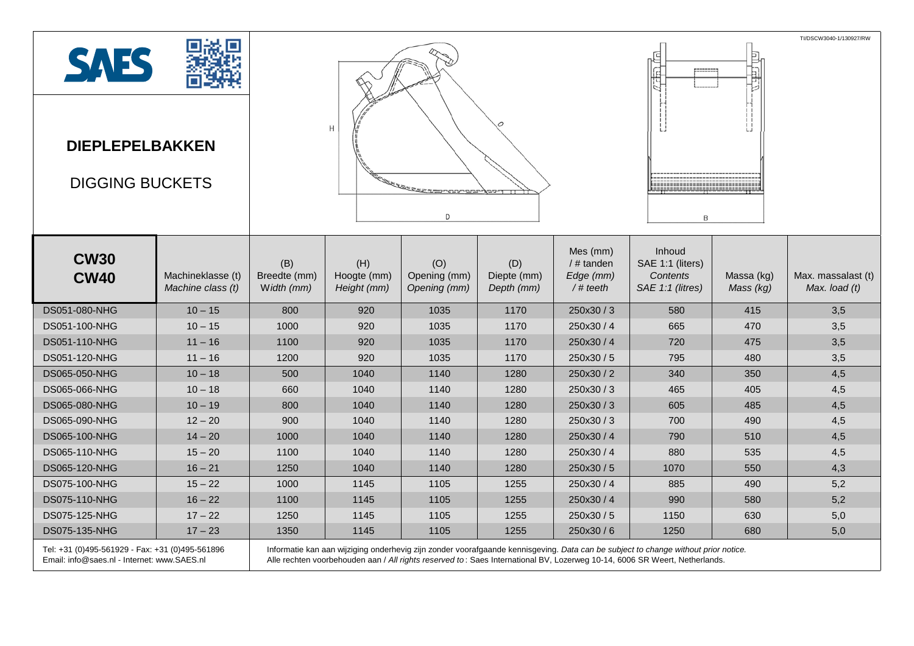| <b>SAES</b><br><b>DIEPLEPELBAKKEN</b><br><b>DIGGING BUCKETS</b>                                |                                        | Н<br><b>CONTRACTOR DE LA PROPERTE DE</b><br>$\Box$                                                                                                                                                                                                               |                                   |                                     |                                  |                                                      | TI/DSCW3040-1/130927/RW<br>目に<br>,,,,,,,,,,,,,,,,,,,,,,,,,,,,,,,,,<br><br>,,,,,,,,,,,,,,,,,,,,,,,,,,,,<br>B |                         |                                     |  |
|------------------------------------------------------------------------------------------------|----------------------------------------|------------------------------------------------------------------------------------------------------------------------------------------------------------------------------------------------------------------------------------------------------------------|-----------------------------------|-------------------------------------|----------------------------------|------------------------------------------------------|-------------------------------------------------------------------------------------------------------------|-------------------------|-------------------------------------|--|
| <b>CW30</b><br><b>CW40</b>                                                                     | Machineklasse (t)<br>Machine class (t) | (B)<br>Breedte (mm)<br>Width (mm)                                                                                                                                                                                                                                | (H)<br>Hoogte (mm)<br>Height (mm) | (O)<br>Opening (mm)<br>Opening (mm) | (D)<br>Diepte (mm)<br>Depth (mm) | Mes (mm)<br>$/$ # tanden<br>Edge (mm)<br>$/$ # teeth | Inhoud<br>SAE 1:1 (liters)<br><b>Contents</b><br>SAE 1:1 (litres)                                           | Massa (kg)<br>Mass (kg) | Max. massalast (t)<br>Max. load (t) |  |
| DS051-080-NHG                                                                                  | $10 - 15$                              | 800                                                                                                                                                                                                                                                              | 920                               | 1035                                | 1170                             | 250x30 / 3                                           | 580                                                                                                         | 415                     | 3,5                                 |  |
| DS051-100-NHG                                                                                  | $10 - 15$                              | 1000                                                                                                                                                                                                                                                             | 920                               | 1035                                | 1170                             | 250x30 / 4                                           | 665                                                                                                         | 470                     | 3,5                                 |  |
| DS051-110-NHG                                                                                  | $11 - 16$                              | 1100                                                                                                                                                                                                                                                             | 920                               | 1035                                | 1170                             | 250x30 / 4                                           | 720                                                                                                         | 475                     | 3,5                                 |  |
| DS051-120-NHG                                                                                  | $11 - 16$                              | 1200                                                                                                                                                                                                                                                             | 920                               | 1035                                | 1170                             | 250x30 / 5                                           | 795                                                                                                         | 480                     | 3,5                                 |  |
| DS065-050-NHG                                                                                  | $10 - 18$                              | 500                                                                                                                                                                                                                                                              | 1040                              | 1140                                | 1280                             | 250x30 / 2                                           | 340                                                                                                         | 350                     | 4,5                                 |  |
| DS065-066-NHG                                                                                  | $10 - 18$                              | 660                                                                                                                                                                                                                                                              | 1040                              | 1140                                | 1280                             | 250x30/3                                             | 465                                                                                                         | 405                     | 4,5                                 |  |
| DS065-080-NHG                                                                                  | $10 - 19$                              | 800                                                                                                                                                                                                                                                              | 1040                              | 1140                                | 1280                             | 250x30/3                                             | 605                                                                                                         | 485                     | 4,5                                 |  |
| DS065-090-NHG                                                                                  | $12 - 20$                              | 900                                                                                                                                                                                                                                                              | 1040                              | 1140                                | 1280                             | 250x30/3                                             | 700                                                                                                         | 490                     | 4,5                                 |  |
| DS065-100-NHG                                                                                  | $14 - 20$                              | 1000                                                                                                                                                                                                                                                             | 1040                              | 1140                                | 1280                             | 250x30 / 4                                           | 790                                                                                                         | 510                     | 4,5                                 |  |
| DS065-110-NHG                                                                                  | $15 - 20$                              | 1100                                                                                                                                                                                                                                                             | 1040                              | 1140                                | 1280                             | 250x30/4                                             | 880                                                                                                         | 535                     | 4,5                                 |  |
| DS065-120-NHG                                                                                  | $16 - 21$                              | 1250                                                                                                                                                                                                                                                             | 1040                              | 1140                                | 1280                             | 250x30/5                                             | 1070                                                                                                        | 550                     | 4,3                                 |  |
| DS075-100-NHG                                                                                  | $15 - 22$                              | 1000                                                                                                                                                                                                                                                             | 1145                              | 1105                                | 1255                             | 250x30 / 4                                           | 885                                                                                                         | 490                     | 5,2                                 |  |
| DS075-110-NHG                                                                                  | $16 - 22$                              | 1100                                                                                                                                                                                                                                                             | 1145                              | 1105                                | 1255                             | 250x30 / 4                                           | 990                                                                                                         | 580                     | 5,2                                 |  |
| DS075-125-NHG                                                                                  | $17 - 22$                              | 1250                                                                                                                                                                                                                                                             | 1145                              | 1105                                | 1255                             | 250x30 / 5                                           | 1150                                                                                                        | 630                     | 5,0                                 |  |
| DS075-135-NHG                                                                                  | $17 - 23$                              | 1350                                                                                                                                                                                                                                                             | 1145                              | 1105                                | 1255                             | 250x30/6                                             | 1250                                                                                                        | 680                     | 5,0                                 |  |
| Tel: +31 (0)495-561929 - Fax: +31 (0)495-561896<br>Email: info@saes.nl - Internet: www.SAES.nl |                                        | Informatie kan aan wijziging onderhevig zijn zonder voorafgaande kennisgeving. Data can be subject to change without prior notice.<br>Alle rechten voorbehouden aan / All rights reserved to: Saes International BV, Lozerweg 10-14, 6006 SR Weert, Netherlands. |                                   |                                     |                                  |                                                      |                                                                                                             |                         |                                     |  |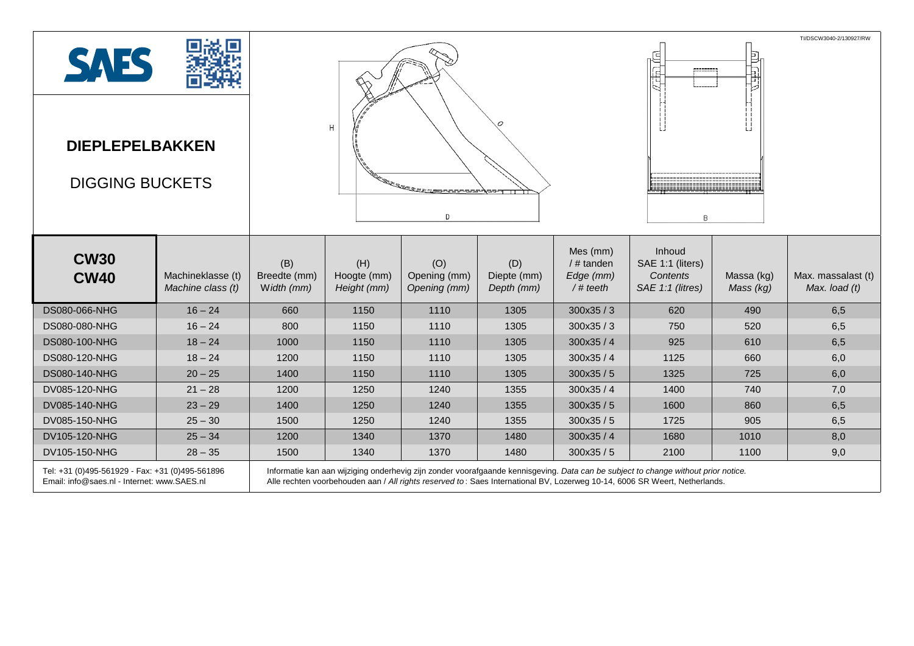| <b>SAES</b><br><b>DIEPLEPELBAKKEN</b><br><b>DIGGING BUCKETS</b>                                |                                        | H<br><u>ing pagpagpang pagpa</u><br>D |                                                                                                                                                                                                                                                                  |                                     |                                  |                                                      | TI/DSCW3040-2/130927/RW<br>₫<br>副神<br>$\mathbf{L}$<br><b>Engineering and and a</b><br>B |                         |                                       |  |
|------------------------------------------------------------------------------------------------|----------------------------------------|---------------------------------------|------------------------------------------------------------------------------------------------------------------------------------------------------------------------------------------------------------------------------------------------------------------|-------------------------------------|----------------------------------|------------------------------------------------------|-----------------------------------------------------------------------------------------|-------------------------|---------------------------------------|--|
| <b>CW30</b><br><b>CW40</b>                                                                     | Machineklasse (t)<br>Machine class (t) | (B)<br>Breedte (mm)<br>Width (mm)     | (H)<br>Hoogte (mm)<br>Height (mm)                                                                                                                                                                                                                                | (O)<br>Opening (mm)<br>Opening (mm) | (D)<br>Diepte (mm)<br>Depth (mm) | Mes (mm)<br>$/$ # tanden<br>Edge (mm)<br>$/$ # teeth | Inhoud<br>SAE 1:1 (liters)<br>Contents<br>SAE 1:1 (litres)                              | Massa (kg)<br>Mass (kg) | Max. massalast (t)<br>Max. load $(t)$ |  |
| DS080-066-NHG                                                                                  | $16 - 24$                              | 660                                   | 1150                                                                                                                                                                                                                                                             | 1110                                | 1305                             | 300x35/3                                             | 620                                                                                     | 490                     | 6,5                                   |  |
| DS080-080-NHG                                                                                  | $16 - 24$                              | 800                                   | 1150                                                                                                                                                                                                                                                             | 1110                                | 1305                             | 300x35/3                                             | 750                                                                                     | 520                     | 6,5                                   |  |
| DS080-100-NHG                                                                                  | $18 - 24$                              | 1000                                  | 1150                                                                                                                                                                                                                                                             | 1110                                | 1305                             | 300x35/4                                             | 925                                                                                     | 610                     | 6,5                                   |  |
| DS080-120-NHG                                                                                  | $18 - 24$                              | 1200                                  | 1150                                                                                                                                                                                                                                                             | 1110                                | 1305                             | 300x35/4                                             | 1125                                                                                    | 660                     | 6,0                                   |  |
| <b>DS080-140-NHG</b>                                                                           | $20 - 25$                              | 1400                                  | 1150                                                                                                                                                                                                                                                             | 1110                                | 1305                             | 300x35 / 5                                           | 1325                                                                                    | 725                     | 6,0                                   |  |
| DV085-120-NHG                                                                                  | $21 - 28$                              | 1200                                  | 1250                                                                                                                                                                                                                                                             | 1240                                | 1355                             | 300x35/4                                             | 1400                                                                                    | 740                     | 7,0                                   |  |
| DV085-140-NHG                                                                                  | $23 - 29$                              | 1400                                  | 1250                                                                                                                                                                                                                                                             | 1240                                | 1355                             | 300x35/5                                             | 1600                                                                                    | 860                     | 6,5                                   |  |
| DV085-150-NHG                                                                                  | $25 - 30$                              | 1500                                  | 1250                                                                                                                                                                                                                                                             | 1240                                | 1355                             | 300x35/5                                             | 1725                                                                                    | 905                     | 6,5                                   |  |
| DV105-120-NHG                                                                                  | $25 - 34$                              | 1200                                  | 1340                                                                                                                                                                                                                                                             | 1370                                | 1480                             | 300x35/4                                             | 1680                                                                                    | 1010                    | 8,0                                   |  |
| DV105-150-NHG                                                                                  | $28 - 35$                              | 1500                                  | 1340                                                                                                                                                                                                                                                             | 1370                                | 1480                             | 300x35/5                                             | 2100                                                                                    | 1100                    | 9,0                                   |  |
| Tel: +31 (0)495-561929 - Fax: +31 (0)495-561896<br>Email: info@saes.nl - Internet: www.SAES.nl |                                        |                                       | Informatie kan aan wijziging onderhevig zijn zonder voorafgaande kennisgeving. Data can be subject to change without prior notice.<br>Alle rechten voorbehouden aan / All rights reserved to: Saes International BV, Lozerweg 10-14, 6006 SR Weert, Netherlands. |                                     |                                  |                                                      |                                                                                         |                         |                                       |  |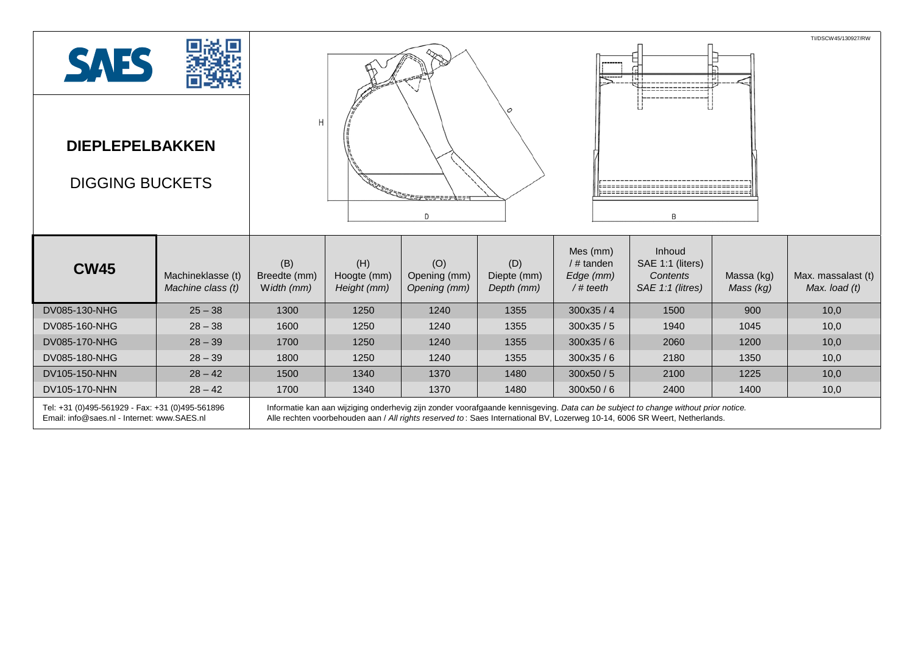|                                                                                                |                                        |                                             | TI/DSCW45/130927/RW               |                                     |                                  |                                                   |                                                                                                                                                                                                                                                                  |                         |                                       |  |
|------------------------------------------------------------------------------------------------|----------------------------------------|---------------------------------------------|-----------------------------------|-------------------------------------|----------------------------------|---------------------------------------------------|------------------------------------------------------------------------------------------------------------------------------------------------------------------------------------------------------------------------------------------------------------------|-------------------------|---------------------------------------|--|
| <b>SAES</b>                                                                                    |                                        |                                             |                                   |                                     |                                  |                                                   |                                                                                                                                                                                                                                                                  | ш                       |                                       |  |
| <b>DIEPLEPELBAKKEN</b><br><b>DIGGING BUCKETS</b>                                               |                                        | Η<br><b><i><u>ARAS ARAS ESPERAN</u></i></b> |                                   |                                     |                                  |                                                   |                                                                                                                                                                                                                                                                  |                         |                                       |  |
|                                                                                                |                                        |                                             |                                   | D                                   |                                  |                                                   | B                                                                                                                                                                                                                                                                |                         |                                       |  |
| <b>CW45</b>                                                                                    | Machineklasse (t)<br>Machine class (t) | (B)<br>Breedte (mm)<br>Width (mm)           | (H)<br>Hoogte (mm)<br>Height (mm) | (O)<br>Opening (mm)<br>Opening (mm) | (D)<br>Diepte (mm)<br>Depth (mm) | Mes (mm)<br>/# tanden<br>Edge (mm)<br>$/$ # teeth | Inhoud<br>SAE 1:1 (liters)<br>Contents<br>SAE 1:1 (litres)                                                                                                                                                                                                       | Massa (kg)<br>Mass (kg) | Max. massalast (t)<br>Max. load $(t)$ |  |
| DV085-130-NHG                                                                                  | $25 - 38$                              | 1300                                        | 1250                              | 1240                                | 1355                             | 300x35/4                                          | 1500                                                                                                                                                                                                                                                             | 900                     | 10,0                                  |  |
| DV085-160-NHG                                                                                  | $28 - 38$                              | 1600                                        | 1250                              | 1240                                | 1355                             | 300x35 / 5                                        | 1940                                                                                                                                                                                                                                                             | 1045                    | 10,0                                  |  |
| DV085-170-NHG                                                                                  | $28 - 39$                              | 1700                                        | 1250                              | 1240                                | 1355                             | 300x35/6                                          | 2060                                                                                                                                                                                                                                                             | 1200                    | 10,0                                  |  |
| DV085-180-NHG                                                                                  | $28 - 39$                              | 1800                                        | 1250                              | 1240                                | 1355                             | 300x35/6                                          | 2180                                                                                                                                                                                                                                                             | 1350                    | 10,0                                  |  |
| DV105-150-NHN                                                                                  | $28 - 42$                              | 1500                                        | 1340                              | 1370                                | 1480                             | 300x50/5                                          | 2100                                                                                                                                                                                                                                                             | 1225                    | 10,0                                  |  |
| DV105-170-NHN                                                                                  | $28 - 42$                              | 1700                                        | 1340                              | 1370                                | 1480                             | 300x50/6                                          | 2400                                                                                                                                                                                                                                                             | 1400                    | 10,0                                  |  |
| Tel: +31 (0)495-561929 - Fax: +31 (0)495-561896<br>Email: info@saes.nl - Internet: www.SAES.nl |                                        |                                             |                                   |                                     |                                  |                                                   | Informatie kan aan wijziging onderhevig zijn zonder voorafgaande kennisgeving. Data can be subject to change without prior notice.<br>Alle rechten voorbehouden aan / All rights reserved to: Saes International BV, Lozerweg 10-14, 6006 SR Weert, Netherlands. |                         |                                       |  |